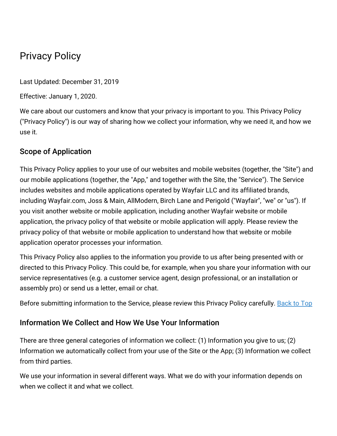# Privacy Policy

Last Updated: December 31, 2019

Effective: January 1, 2020.

We care about our customers and know that your privacy is important to you. This Privacy Policy ("Privacy Policy") is our way of sharing how we collect your information, why we need it, and how we use it.

## Scope of Application

This Privacy Policy applies to your use of our websites and mobile websites (together, the "Site") and our mobile applications (together, the "App," and together with the Site, the "Service"). The Service includes websites and mobile applications operated by Wayfair LLC and its affiliated brands, including Wayfair.com, Joss & Main, AllModern, Birch Lane and Perigold ("Wayfair", "we" or "us"). If you visit another website or mobile application, including another Wayfair website or mobile application, the privacy policy of that website or mobile application will apply. Please review the privacy policy of that website or mobile application to understand how that website or mobile application operator processes your information.

This Privacy Policy also applies to the information you provide to us after being presented with or directed to this Privacy Policy. This could be, for example, when you share your information with our service representatives (e.g. a customer service agent, design professional, or an installation or assembly pro) or send us a letter, email or chat.

Before submitting information to the Service, please review this Privacy Policy carefully. [Back](#birchlane-privacy-top) to Top

## Information We Collect and How We Use Your Information

There are three general categories of information we collect: (1) Information you give to us; (2) Information we automatically collect from your use of the Site or the App; (3) Information we collect from third parties.

We use your information in several different ways. What we do with your information depends on when we collect it and what we collect.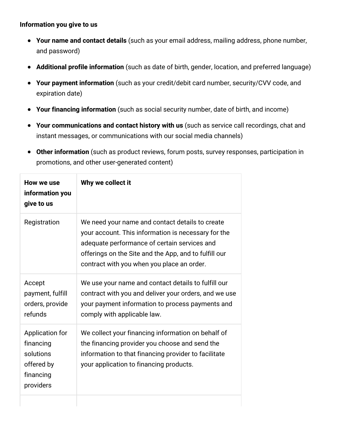#### **Information you give to us**

- **Your name and contact details** (such as your email address, mailing address, phone number, and password)
- **Additional profile information** (such as date of birth, gender, location, and preferred language)
- **Your payment information** (such as your credit/debit card number, security/CVV code, and expiration date)
- **Your financing information** (such as social security number, date of birth, and income)
- **Your communications and contact history with us** (such as service call recordings, chat and instant messages, or communications with our social media channels)
- **Other information** (such as product reviews, forum posts, survey responses, participation in promotions, and other user-generated content)

| How we use<br>information you<br>give to us                                       | Why we collect it                                                                                                                                                                                                                                             |
|-----------------------------------------------------------------------------------|---------------------------------------------------------------------------------------------------------------------------------------------------------------------------------------------------------------------------------------------------------------|
| Registration                                                                      | We need your name and contact details to create<br>your account. This information is necessary for the<br>adequate performance of certain services and<br>offerings on the Site and the App, and to fulfill our<br>contract with you when you place an order. |
| Accept<br>payment, fulfill<br>orders, provide<br>refunds                          | We use your name and contact details to fulfill our<br>contract with you and deliver your orders, and we use<br>your payment information to process payments and<br>comply with applicable law.                                                               |
| Application for<br>financing<br>solutions<br>offered by<br>financing<br>providers | We collect your financing information on behalf of<br>the financing provider you choose and send the<br>information to that financing provider to facilitate<br>your application to financing products.                                                       |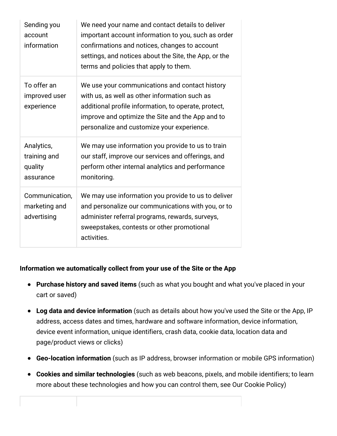| Sending you<br>account<br>information              | We need your name and contact details to deliver<br>important account information to you, such as order<br>confirmations and notices, changes to account<br>settings, and notices about the Site, the App, or the<br>terms and policies that apply to them. |
|----------------------------------------------------|-------------------------------------------------------------------------------------------------------------------------------------------------------------------------------------------------------------------------------------------------------------|
| To offer an<br>improved user<br>experience         | We use your communications and contact history<br>with us, as well as other information such as<br>additional profile information, to operate, protect,<br>improve and optimize the Site and the App and to<br>personalize and customize your experience.   |
| Analytics,<br>training and<br>quality<br>assurance | We may use information you provide to us to train<br>our staff, improve our services and offerings, and<br>perform other internal analytics and performance<br>monitoring.                                                                                  |
| Communication,<br>marketing and<br>advertising     | We may use information you provide to us to deliver<br>and personalize our communications with you, or to<br>administer referral programs, rewards, surveys,<br>sweepstakes, contests or other promotional<br>activities.                                   |

#### **Information we automatically collect from your use of the Site or the App**

- **Purchase history and saved items** (such as what you bought and what you've placed in your cart or saved)
- **Log data and device information** (such as details about how you've used the Site or the App, IP address, access dates and times, hardware and software information, device information, device event information, unique identifiers, crash data, cookie data, location data and page/product views or clicks)
- **Geo-location information** (such as IP address, browser information or mobile GPS information)
- **Cookies and similar technologies** (such as web beacons, pixels, and mobile identifiers; to learn more about these technologies and how you can control them, see Our Cookie Policy)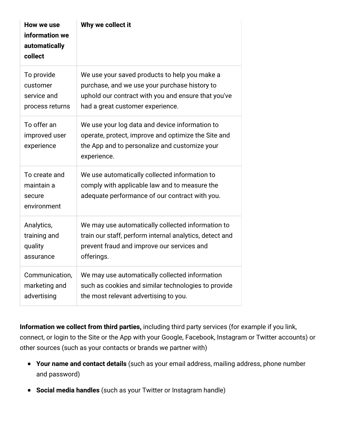| How we use<br>information we<br>automatically<br>collect | Why we collect it                                                                                                                                                     |
|----------------------------------------------------------|-----------------------------------------------------------------------------------------------------------------------------------------------------------------------|
| To provide                                               | We use your saved products to help you make a                                                                                                                         |
| customer                                                 | purchase, and we use your purchase history to                                                                                                                         |
| service and                                              | uphold our contract with you and ensure that you've                                                                                                                   |
| process returns                                          | had a great customer experience.                                                                                                                                      |
| To offer an<br>improved user<br>experience               | We use your log data and device information to<br>operate, protect, improve and optimize the Site and<br>the App and to personalize and customize your<br>experience. |
| To create and<br>maintain a<br>secure<br>environment     | We use automatically collected information to<br>comply with applicable law and to measure the<br>adequate performance of our contract with you.                      |
| Analytics,                                               | We may use automatically collected information to                                                                                                                     |
| training and                                             | train our staff, perform internal analytics, detect and                                                                                                               |
| quality                                                  | prevent fraud and improve our services and                                                                                                                            |
| assurance                                                | offerings.                                                                                                                                                            |
| Communication,                                           | We may use automatically collected information                                                                                                                        |
| marketing and                                            | such as cookies and similar technologies to provide                                                                                                                   |
| advertising                                              | the most relevant advertising to you.                                                                                                                                 |

**Information we collect from third parties,** including third party services (for example if you link, connect, or login to the Site or the App with your Google, Facebook, Instagram or Twitter accounts) or other sources (such as your contacts or brands we partner with)

- **Your name and contact details** (such as your email address, mailing address, phone number and password)
- **Social media handles** (such as your Twitter or Instagram handle)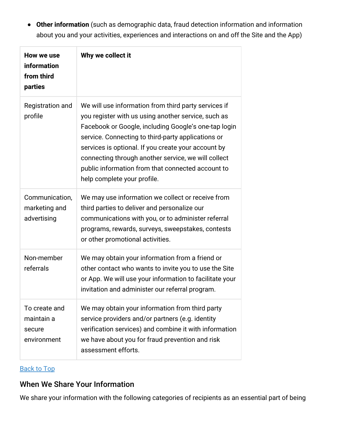**Other information** (such as demographic data, fraud detection information and information about you and your activities, experiences and interactions on and off the Site and the App)

| How we use<br>information<br>from third<br>parties   | Why we collect it                                                                                                                                                                                                                                                                                                                                                                                                           |
|------------------------------------------------------|-----------------------------------------------------------------------------------------------------------------------------------------------------------------------------------------------------------------------------------------------------------------------------------------------------------------------------------------------------------------------------------------------------------------------------|
| Registration and<br>profile                          | We will use information from third party services if<br>you register with us using another service, such as<br>Facebook or Google, including Google's one-tap login<br>service. Connecting to third-party applications or<br>services is optional. If you create your account by<br>connecting through another service, we will collect<br>public information from that connected account to<br>help complete your profile. |
| Communication,<br>marketing and<br>advertising       | We may use information we collect or receive from<br>third parties to deliver and personalize our<br>communications with you, or to administer referral<br>programs, rewards, surveys, sweepstakes, contests<br>or other promotional activities.                                                                                                                                                                            |
| Non-member<br>referrals                              | We may obtain your information from a friend or<br>other contact who wants to invite you to use the Site<br>or App. We will use your information to facilitate your<br>invitation and administer our referral program.                                                                                                                                                                                                      |
| To create and<br>maintain a<br>secure<br>environment | We may obtain your information from third party<br>service providers and/or partners (e.g. identity<br>verification services) and combine it with information<br>we have about you for fraud prevention and risk<br>assessment efforts.                                                                                                                                                                                     |

#### [Back](#birchlane-privacy-top) to Top

## When We Share Your Information

We share your information with the following categories of recipients as an essential part of being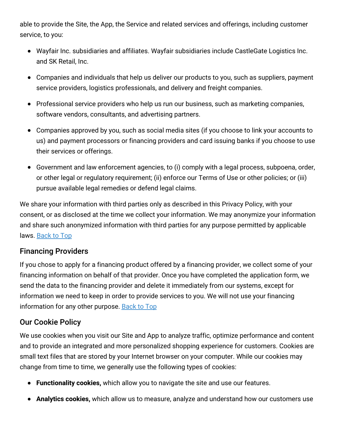able to provide the Site, the App, the Service and related services and offerings, including customer service, to you:

- Wayfair Inc. subsidiaries and affiliates. Wayfair subsidiaries include CastleGate Logistics Inc. and SK Retail, Inc.
- Companies and individuals that help us deliver our products to you, such as suppliers, payment service providers, logistics professionals, and delivery and freight companies.
- Professional service providers who help us run our business, such as marketing companies, software vendors, consultants, and advertising partners.
- Companies approved by you, such as social media sites (if you choose to link your accounts to us) and payment processors or financing providers and card issuing banks if you choose to use their services or offerings.
- Government and law enforcement agencies, to (i) comply with a legal process, subpoena, order, or other legal or regulatory requirement; (ii) enforce our Terms of Use or other policies; or (iii) pursue available legal remedies or defend legal claims.

We share your information with third parties only as described in this Privacy Policy, with your consent, or as disclosed at the time we collect your information. We may anonymize your information and share such anonymized information with third parties for any purpose permitted by applicable laws. [Back](#birchlane-privacy-top) to Top

## Financing Providers

If you chose to apply for a financing product offered by a financing provider, we collect some of your financing information on behalf of that provider. Once you have completed the application form, we send the data to the financing provider and delete it immediately from our systems, except for information we need to keep in order to provide services to you. We will not use your financing information for any other purpose. [Back](#birchlane-privacy-top) to Top

## Our Cookie Policy

We use cookies when you visit our Site and App to analyze traffic, optimize performance and content and to provide an integrated and more personalized shopping experience for customers. Cookies are small text files that are stored by your Internet browser on your computer. While our cookies may change from time to time, we generally use the following types of cookies:

- **Functionality cookies,** which allow you to navigate the site and use our features.
- **Analytics cookies,** which allow us to measure, analyze and understand how our customers use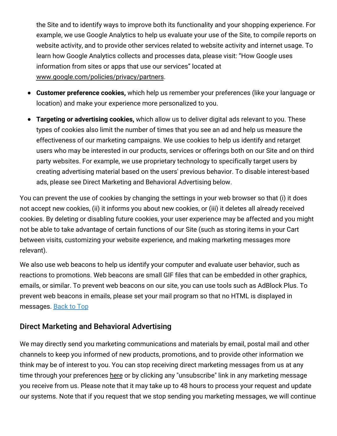the Site and to identify ways to improve both its functionality and your shopping experience. For example, we use Google Analytics to help us evaluate your use of the Site, to compile reports on website activity, and to provide other services related to website activity and internet usage. To learn how Google Analytics collects and processes data, please visit: "How Google uses information from sites or apps that use our services" located at [www.google.com/policies/privacy/partners](http://www.google.com/policies/privacy/partners).

- **Customer preference cookies,** which help us remember your preferences (like your language or location) and make your experience more personalized to you.
- **Targeting or advertising cookies,** which allow us to deliver digital ads relevant to you. These types of cookies also limit the number of times that you see an ad and help us measure the effectiveness of our marketing campaigns. We use cookies to help us identify and retarget users who may be interested in our products, services or offerings both on our Site and on third party websites. For example, we use proprietary technology to specifically target users by creating advertising material based on the users' previous behavior. To disable interest-based ads, please see Direct Marketing and Behavioral Advertising below.

You can prevent the use of cookies by changing the settings in your web browser so that (i) it does not accept new cookies, (ii) it informs you about new cookies, or (iii) it deletes all already received cookies. By deleting or disabling future cookies, your user experience may be affected and you might not be able to take advantage of certain functions of our Site (such as storing items in your Cart between visits, customizing your website experience, and making marketing messages more relevant).

We also use web beacons to help us identify your computer and evaluate user behavior, such as reactions to promotions. Web beacons are small GIF files that can be embedded in other graphics, emails, or similar. To prevent web beacons on our site, you can use tools such as AdBlock Plus. To prevent web beacons in emails, please set your mail program so that no HTML is displayed in messages. [Back](#birchlane-privacy-top) to Top

#### Direct Marketing and Behavioral Advertising

We may directly send you marketing communications and materials by email, postal mail and other channels to keep you informed of new products, promotions, and to provide other information we think may be of interest to you. You can stop receiving direct marketing messages from us at any time through your preferences [here](https://www.birchlane.com/v/account/email_subscriptions/manage) or by clicking any "unsubscribe" link in any marketing message you receive from us. Please note that it may take up to 48 hours to process your request and update our systems. Note that if you request that we stop sending you marketing messages, we will continue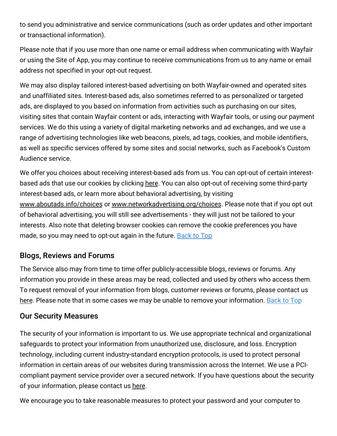to send you administrative and service communications (such as order updates and other important or transactional information).

Please note that if you use more than one name or email address when communicating with Wayfair or using the Site of App, you may continue to receive communications from us to any name or email address not specified in your opt-out request.

We may also display tailored interest-based advertising on both Wayfair-owned and operated sites and unaffiliated sites. Interest-based ads, also sometimes referred to as personalized or targeted ads, are displayed to you based on information from activities such as purchasing on our sites, visiting sites that contain Wayfair content or ads, interacting with Wayfair tools, or using our payment services. We do this using a variety of digital marketing networks and ad exchanges, and we use a range of advertising technologies like web beacons, pixels, ad tags, cookies, and mobile identifiers, as well as specific services offered by some sites and social networks, such as Facebook's Custom Audience service.

We offer you choices about receiving interest-based ads from us. You can opt-out of certain interestbased ads that use our cookies by clicking [here.](https://terms.birchlane.io/en-US#birchlane-interestbasedads) You can also opt-out of receiving some third-party interest-based ads, or learn more about behavioral advertising, by visiting [www.aboutads.info/choices](http://www.aboutads.info/choices) or [www.networkadvertising.org/choices.](http://www.networkadvertising.org/choices) Please note that if you opt out of behavioral advertising, you will still see advertisements - they will just not be tailored to your interests. Also note that deleting browser cookies can remove the cookie preferences you have made, so you may need to opt-out again in the future. [Back](#birchlane-privacy-top) to Top

## Blogs, Reviews and Forums

The Service also may from time to time offer publicly-accessible blogs, reviews or forums. Any information you provide in these areas may be read, collected and used by others who access them. To request removal of your information from blogs, customer reviews or forums, please contact us [here.](https://www.birchlane.com/privacy_rights_request) Please note that in some cases we may be unable to remove your information. [Back](#birchlane-privacy-top) to Top

#### Our Security Measures

The security of your information is important to us. We use appropriate technical and organizational safeguards to protect your information from unauthorized use, disclosure, and loss. Encryption technology, including current industry-standard encryption protocols, is used to protect personal information in certain areas of our websites during transmission across the Internet. We use a PCIcompliant payment service provider over a secured network. If you have questions about the security of your information, please contact us [here](https://www.birchlane.com/contact_us).

We encourage you to take reasonable measures to protect your password and your computer to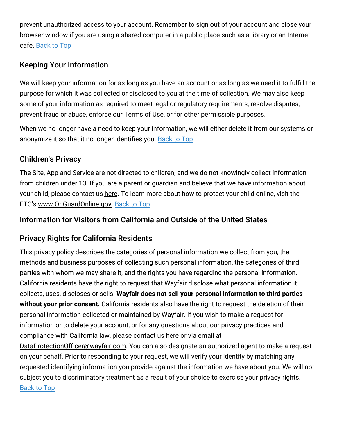prevent unauthorized access to your account. Remember to sign out of your account and close your browser window if you are using a shared computer in a public place such as a library or an Internet cafe. [Back](#birchlane-privacy-top) to Top

## Keeping Your Information

We will keep your information for as long as you have an account or as long as we need it to fulfill the purpose for which it was collected or disclosed to you at the time of collection. We may also keep some of your information as required to meet legal or regulatory requirements, resolve disputes, prevent fraud or abuse, enforce our Terms of Use, or for other permissible purposes.

When we no longer have a need to keep your information, we will either delete it from our systems or anonymize it so that it no longer identifies you. [Back](#birchlane-privacy-top) to Top

#### Children's Privacy

The Site, App and Service are not directed to children, and we do not knowingly collect information from children under 13. If you are a parent or guardian and believe that we have information about your child, please contact us [here.](https://www.birchlane.com/privacy_rights_request) To learn more about how to protect your child online, visit the FTC's [www.OnGuardOnline.gov.](http://www.onguardonline.gov/) [Back](#birchlane-privacy-top) to Top

## Information for Visitors from California and Outside of the United States

# Privacy Rights for California Residents

This privacy policy describes the categories of personal information we collect from you, the methods and business purposes of collecting such personal information, the categories of third parties with whom we may share it, and the rights you have regarding the personal information. California residents have the right to request that Wayfair disclose what personal information it collects, uses, discloses or sells. **Wayfair does not sell your personal information to third parties without your prior consent.** California residents also have the right to request the deletion of their personal information collected or maintained by Wayfair. If you wish to make a request for information or to delete your account, or for any questions about our privacy practices and compliance with California law, please contact us [here](https://www.birchlane.com/privacy_rights_request) or via email at

[DataProtectionOfficer@wayfair.com.](mailto:DataProtectionOfficer@wayfair.com) You can also designate an authorized agent to make a request on your behalf. Prior to responding to your request, we will verify your identity by matching any requested identifying information you provide against the information we have about you. We will not subject you to discriminatory treatment as a result of your choice to exercise your privacy rights. [Back](#birchlane-privacy-top) to Top